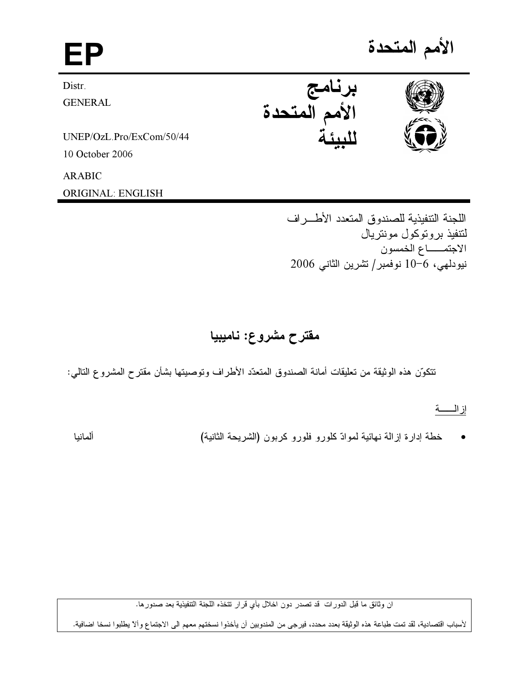# EP

Distr. **GENERAL** 

UNEP/OzL.Pro/ExCom/50/44

10 October 2006

**ARABIC** 

**ORIGINAL: ENGLISH** 

الأمم المتحدة





اللجنة التنفيذية للصندوق المتعدد الأطراف لنتفيذ بر و توكول مونتر يال الاجتمــاع الخمسون نيودلهي، 6-10 نوفمبر/تشرين الثاني 2006

## مقترح مشروع: ناميبيا

نتكوّن هذه الوثيقة من تعليقات أمانة الصندوق المتعدّد الأطراف وتوصيتها بشأن مقترح المشروع التالمي:

## إزاله

خطة إدارة إز المة نهائية لموادّ كلورو فلورو كربون (الشريحة الثانية)

ألمانيا

ان وثائق ما قبل الدورات قد تصدر دون اخلال بأي قرار تتخذه اللجنة التنفيذية بعد صدورها.

لأسباب اقتصادية، لقد تمت طباعة هذه الوثيقة بعدد محدد، فيرجى من المندوبين أن يأخذوا نسختهم معهم الى الاجتماع وألا يطلبوا نسخا اضافية.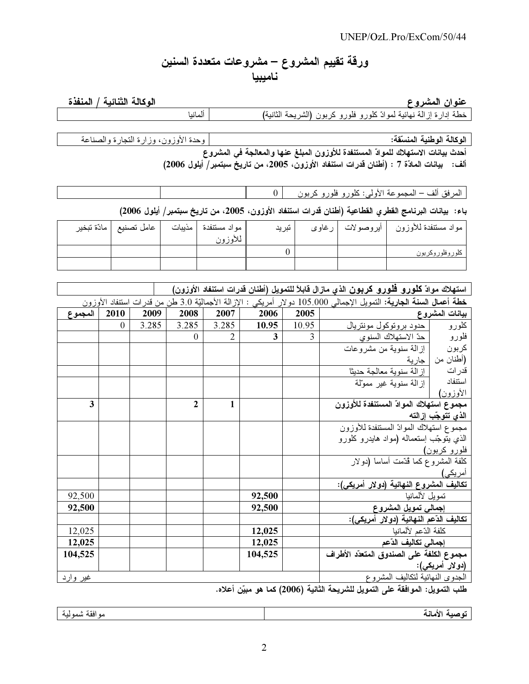## ورقة تقييم المشروع – مشروعات متعددة السنين ناميبيا

#### <u>وع مستشف المستشف المستشف المستشف المستشف المستشف المستشف المستشف المستشف المستشف المستشف المستشف ال</u> <u>عنوان المشر</u>

الوكالة الثِّنائية / المنفذة

(
- -) - 
 - 

ألمانيا

L 
- 
!"- :-الوكالة الوطنية المنسّ

.<br>أحدث بيانات الاستهلاك للموادّ المستنفدة للأوزون المبلغ عنها والمعالجة ف*ي* المشروع ألف: بيانات المادّة 7 : (أطنان قدرات استنفاد الأوزون، 2005، من تاريخٌ سبتمبر/ أيلول 2006)

المرفق ألف – المجموعة الأولى: كلورو فلورو كربون  $\begin{vmatrix} 0 & 0 & 0 \end{vmatrix}$  . يسمح المسلمان المسلمان المسلمان المسلمان المسلمان المسلمان المسلمان المسلمان المسلمان المسلمان المسلمان المسلمان المسلمان المسلمان المسلمان المسلمان

باء: بيانات البرنامج القطري القطاعية (أطنان قدرات استنفاد الأوزون، 2005، من تاريخ سبتمبر/ أيلول 2006)

| عامل تصنيع   مادّة تبخير | مواد مستنفدة   مذيبات<br>للأوزون | ا تبرید |  | مواد مستنفدة للأوزون   أيروصولات   رغاوى |
|--------------------------|----------------------------------|---------|--|------------------------------------------|
|                          |                                  |         |  | كلوروفلوروكربون                          |
|                          |                                  |         |  |                                          |

|                 |                                                                                                                     |       |              |                |         |       | استهلاك موادّ <b>كلورو فلورو كربون</b> الذي مازال قابلاً للتمويل (أطنان قدرات استنفاد الأوزون) |                    |  |
|-----------------|---------------------------------------------------------------------------------------------------------------------|-------|--------------|----------------|---------|-------|------------------------------------------------------------------------------------------------|--------------------|--|
|                 | خطة أعمال السنة الجارية: النمويل الإجمالي 105.000 دولار أمريكي : الإزالة الأجماليّة 3.0 طن من قدرات استنفاد الأوزون |       |              |                |         |       |                                                                                                |                    |  |
| المجموع         | 2010                                                                                                                | 2009  | 2008         | 2007           | 2006    | 2005  |                                                                                                | بيانات المشروع     |  |
|                 | $\theta$                                                                                                            | 3.285 | 3.285        | 3.285          | 10.95   | 10.95 | حدود بروتوكول مونتريال                                                                         | كلورو              |  |
|                 |                                                                                                                     |       | $\theta$     | $\overline{2}$ | 3       | 3     | حدّ الاستهلاك السنوى                                                                           | فلورو              |  |
|                 |                                                                                                                     |       |              |                |         |       | إزالـة سنويـة من مشروعات                                                                       | كربون              |  |
|                 |                                                                                                                     |       |              |                |         |       | جارية                                                                                          | (أطنان من          |  |
|                 |                                                                                                                     |       |              |                |         |       | إز الــة سنويـة معالـجـة حديثاً                                                                | قدرات              |  |
|                 |                                                                                                                     |       |              |                |         |       | إز الـة سنويـة غير ممولّة                                                                      | استنفاد            |  |
|                 |                                                                                                                     |       |              |                |         |       |                                                                                                | الأوزون)           |  |
| 3               |                                                                                                                     |       | $\mathbf{2}$ | $\mathbf{1}$   |         |       | مجموع استهلاك الموادّ المستنفدة للأوزون                                                        |                    |  |
|                 |                                                                                                                     |       |              |                |         |       |                                                                                                | الذي تتوجّب إزالته |  |
|                 |                                                                                                                     |       |              |                |         |       | مجموع استهلاك الموادّ المستنفدة للأوزون                                                        |                    |  |
|                 |                                                                                                                     |       |              |                |         |       | الذي يتوجّب إستعماله (مواد هايدرو كلورو                                                        |                    |  |
|                 |                                                                                                                     |       |              |                |         |       | فلورو كربون)                                                                                   |                    |  |
|                 |                                                                                                                     |       |              |                |         |       | كلفة المشروع كما قُدّمت أساساً (دولار                                                          |                    |  |
|                 |                                                                                                                     |       |              |                |         |       | <u>أمريكى)</u>                                                                                 |                    |  |
| 92,500          |                                                                                                                     |       |              |                | 92,500  |       | تكاليف المشروع النهائية (دولار أمريكي):                                                        |                    |  |
| 92,500          |                                                                                                                     |       |              |                | 92,500  |       | نمويل لألمانيا<br>إجمالي تمويل المشروع                                                         |                    |  |
|                 |                                                                                                                     |       |              |                |         |       | تكاليف الدّعم النهائية (دولار أمريكي):                                                         |                    |  |
| 12,025          |                                                                                                                     |       |              |                | 12,025  |       | كلفة الدّعم لألمانيا                                                                           |                    |  |
| 12,025          |                                                                                                                     |       |              |                | 12,025  |       | إجمالي تكاليف الدّعم                                                                           |                    |  |
|                 |                                                                                                                     |       |              |                |         |       |                                                                                                |                    |  |
| 104,525         |                                                                                                                     |       |              |                | 104,525 |       | مجموع الكلفة على الصندوق المتعدّد الأطراف                                                      |                    |  |
|                 |                                                                                                                     |       |              |                |         |       |                                                                                                | (دو لار أمريكي):   |  |
| <u>غیر وارد</u> |                                                                                                                     |       |              |                |         |       | الجدوى النهائية لتكاليف المشروع                                                                |                    |  |

طلب التمويل: الموافقة على التمويل للشريحة الثانية (2006) كما هو مبيّن أعلاه.

توصية الأمانة مستخدمة المستخدمات المستخدمات المستخدمات المستخدمات المستخدمات المستخدمة المستخدمة المستخدمة المس

مو افقة شمو لية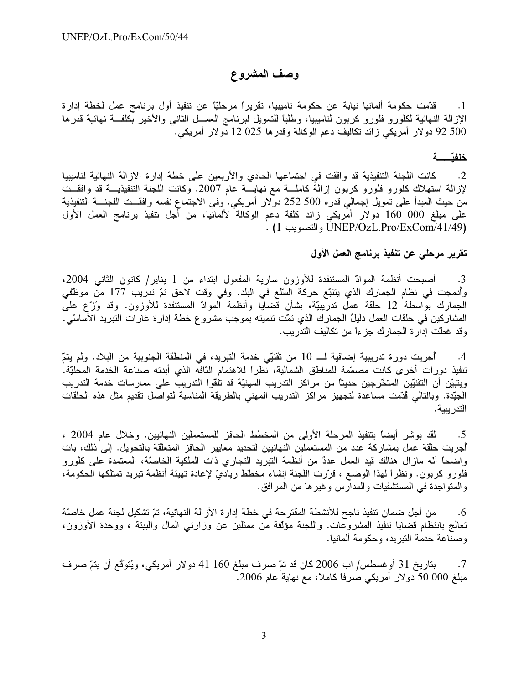## وصف المشروع

قدّمت حكومة ألمانيا نيابة عن حكومة ناميبيا، تقريراً مرحليّاً عن تنفيذ أول برنامج عمل لخطة إدارة  $\overline{\phantom{a}}$ .1 الإزالة النهائية لكلورو فلورو كربون لناميبيا، وطلبًا للتمويل لبرنامج العمـــل الثانـي والأخير بكلفـــة نهائية قدرها 92 500 دولار أمريكي زائد تكاليف دعم الوكالة وقدرها 255 12 دولار أمريكى. ً

#### خلفتسسة

كانت اللجنة التنفيذية قد وافقت في اجتماعها الحادي والأربعين على خطة إدارة الإزالة النهائية لناميبيا  $\cdot$ .2 لإزالة استهلاك كلورو فلورو كربون إزالة كاملـــة مع نهايـــة عام 2007. وكانت اللجنة التنفيذيـــة قد وافقـــت من حيث المبدأ على تمويل إجمالي قدره 500 252 دولار أمريكي. وفي الاجتماع نفسه وافقــت اللجنـــة التنفيذية على مبلغ 000 160 دولار أمريكي زائد كلفة دعم الوكالة لألمانيا، من أجل نتفيذ برنامج العمل الأول . (1/1/49)UNEP/OzL.Pro/ExCom والتصويب 1) .

#### تقرير مرحلي عن تنفيذ برنامج العمل الأول

أصبحت أنظمة الموادّ المستنفدة للأوزون سارية المفعول ابتداء من 1 يناير/ كانون الثاني 2004، .3 وأدمجت في نظام الجمارك الذي ينتبّع حركة السّلع في البلد. وفي وقت لاحق تمّ تدريب 177 من موظّفي الجمارك بوَّاسطة 12 حلقة عمل ندرِّيبيّة، بشأن قضايا وأنظمة الموادّ المستنفدة للأوزون. وقد وُزَّع على المشاركين في حلقات العمل دليلُ الجمارك الذي تمّت تنميته بموجب مشروع خطة إدارة غازات التبريد الأساسّي. وقد غطت إدار ة الجمارك جز ءاً من تكاليف التدريب.

أُجريت دورة تدريبية إضافية لـــ 10 من تقنيّي خدمة التبريد، في المنطقة الجنوبية من البلاد. ولم يتمّ  $.4$ تنفيذ دورات أخرى كانت مصمّمة للمناطق الشمالية، نظراً للاهتمام النّافه الذي أبدته صناعة الخدمة المحليّة. ويتبيّن أن التقنيّين المتخّرجين حديثًا من مراكز التدريب المهنيّة قد تلقّوا التدريب على ممارسات خدمة التدريب الْجِيَّدة. وبالتالي قُدَّمت مساعدة لتجهيز مراكز التدريب المهني بالطريقة المناسبة لتواصل تقديم مثل هذه الحلقات التدر يبية.

لقد بوشر أيضاً بتنفيذ المرحلة الأولى من المخطط الحافز للمستعملين النهائيين. وخلال عام 2004 ،  $.5$ أجريت حلقة عمل بمشاركة عدد من المستعملين النهائيين لتحديد معايير الحافز المتعلّقة بالتحويل. إلى ذلك، بات واضحاً أنّه مازال هنالك قيد العمل عددٌ من أنظمة النبريد النجاري ذات الملكية الخاصنّة، المعتمدة على كلورو فلورو كربون. ونظراً لهذا الوضع ، قرَّرت اللَّجنة إنشاء مخطَّط رياديّ لإعادة تهيئة أنظمة تبريد تمتلكها الحكومة، والمتواجدة في المستشفيات والمدارس وغيرها من المرافق.

من أجل ضمان تنفيذ ناجح للأنشطة المقترحة في خطة إدار ة الأز الة النهائية، تمّ تشكيل لجنة عمل خاصنّة  $.6$ تعالج بانتظام قضايا تنفيذ المشروعات. واللجنة مؤلَّفة من ممثلين عن وزارتي المال والبيئة ، ووحدة الأوزون، وصناعة خدمة التبريد، وحكومة ألمانيا.

بتاريخ 31 أوغسطس/ آب 2006 كان قد تمّ صرف مبلغ 160 41 دولار أمريكي، ويُتوَقَّع أن يتمّ صرف  $\cdot 7$ مبلغ 000 50 دولار أمريكي صرفاً كاملاً، مع نهاية عام 2006.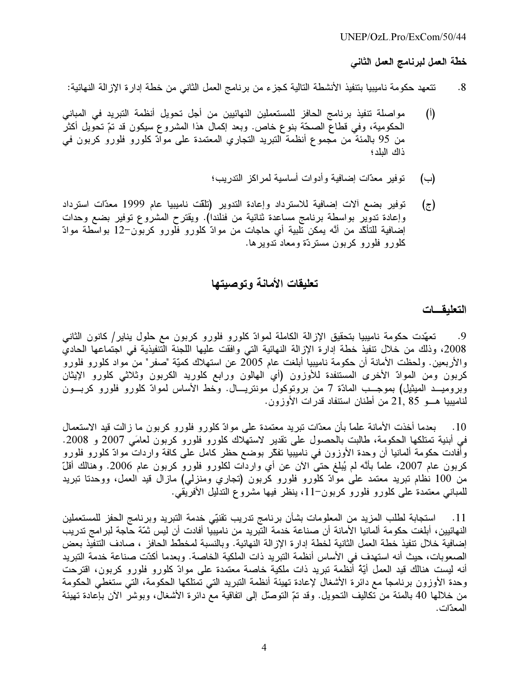#### $UNEP/OzL$  Pro/ExCom/50/44

خطّة العمل لبرنامج العمل الثاني

- تتعهد حكومة ناميبيا بتنفيذ الأنشطة التالية كجزء من برنامج العمل الثاني من خطة إدارة الإزالة النهائية:  $.8$
- مواصلة تنفيذ برنامج الحافز للمستعملين النهائيين من أجل تحويل أنظمة التبريد في المباني  $(\mathfrak{h})$ الْحكومية، وفي قطاع الصحَّة بنوع خاص. وبعد إكمال هذا المشروع سيكون قد تمَّ تحويل اكثر من 95 بالمئة من مجموع أنظمة النبريد النجاري المعتمدة على موادّ كلورو فلورو كربون في ذاك البلد؛
	- توفير معدَّات إضافية وأدوات أساسية لمراكز التدريب؛ (ب)
- توفير بضع الات إضافية للاسترداد وإعادة التدوير (تلقت ناميبيا عام 1999 معدّات استرداد  $(\overline{\zeta})$ وإعادة تدوير بواسطة برنامج مساعدة ثنائية من فنلندا). ويقترح المشروع توفير بضع وحدات إضافية للتاكُّد من أنَّه يمكن تلبية أي حاجات من موادَّ كلورو فلورو كربون–12 بواسطة موادًّ كلورو فلورو كربون مستردّة ومعاد تدويرها.

### تعليقات الأمانة وتوصيتها

#### التعليقات

تعهّدت حكومة ناميبيا بتحقيق الإزالة الكاملة لموادّ كلورو فلورو كربون مع حلول يناير/ كانون الثانبي .9 2008، وذلك من خلال تنفيذ خطة إدارة الإزالة النهائية التي وافقت عليها اللجنة التنفيذية في اجتماعها الحادي والأربعين. ولحظت الأمانة أن حكومة ناميبيا أبلغت عام 2005 عن استهلاك كميّة "صفر" من مواد كلورو فلورو كربون ومن الموادّ الأخرى المستنفدة للأوزون (أي الهالون ورابع كلوريد الكربون وثلاثي كلورو الإيثان وبروميــد الميثيل) بموجـــب المادّة 7 من بروتوكول مونتريـــال. وخط الأساس لموادّ كلورو فلورو كربـــون لناميبيا هـــو 21, 85 من أطنان استنفاد قدرات الأوزون.

بعدما أخذت الأمانة علمًا بأن معدَّات تبريد معتمدة على موادّ كلورو فلورو كربون ما زالت قيد الاستعمال  $\cdot 10$ في أبنية تمتلكها الحكومة، طالبت بالحصول على تقدير لاستهلاك كلورو فلورو كربون لعامَى 2007 و 2008. وأفادت حكومة ألمانيا أن وحدة الأوزون في ناميبيا تفكّر بوضع حظر كامل على كافة واردات موادّ كلورو فلورو كربون عام 2007، علمًا بأنَّه لم يُبلغ حتى الأن عن أي واردات لكلورو فلورو كربون عام 2006. وهنالك أقلّ من 100 نظام تبريد معتمد على موادّ كلورو فلورو كربون (تجاري ومنزلي) مازال قيد العمل، ووحدتا تبريد للمباني معتمدة على كلورو فلورو كربون–11، ينظر فيها مشروع التدليل الأفريقي.

استجابة لطلب المزيد من المعلومات بشأن برنامج تدريب تقنيّي خدمة التبريد وبرنامج الحفز للمستعملين  $-.11$ النهائيين، أبلغت حكومة المانيا الامانة أن صناعة خدمة التبريد من ناميبيا أفادت أن ليس ثمّة حاجة لبر امج تدريب إضافية خلال نتفيذ خطة العمل الثانية لخطة إدارة الإزالة النهائية. وبالنسبة لمخطط الحافز ، صادف التنفيذ بعض الصعوبات، حيث أنه استهدف في الأساس أنظمة التبريد ذات الملكية الخاصة. وبعدما أكدّت صناعة خدمة التبريد أنه ليست هنالك قيد العمل أيَّة أنظمة نبريد ذات ملكية خاصة معتمدة على موادّ كلورو فلورو كربون، اقترحت وحدة الأوزون برنامجاً مع دائرة الأشغال لإعادة تهيئة أنظمة التبريد التي تمتلكها الحكومة، التي ستغطي الحكومة من خلالها 40 بالمئة من تكاليف التحويل. وقد تمّ التوصل إلى اتفاقية مع دائرة الأشغال، وبوشر الآن بإعادة تهيئة المعدّات.